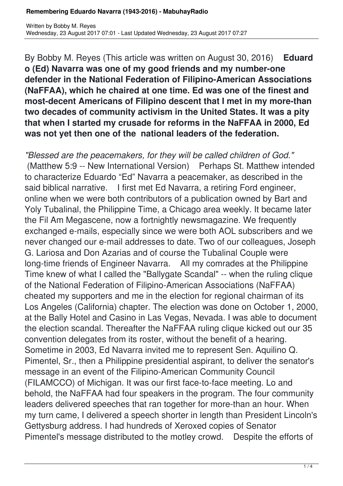#### **Remembering Eduardo Navarra (1943-2016) - MabuhayRadio**

By Bobby M. Reyes (This article was written on August 30, 2016) **Eduard o (Ed) Navarra was one of my good friends and my number-one defender in the National Federation of Filipino-American Associations (NaFFAA), which he chaired at one time. Ed was one of the finest and most-decent Americans of Filipino descent that I met in my more-than two decades of community activism in the United States. It was a pity that when I started my crusade for reforms in the NaFFAA in 2000, Ed was not yet then one of the national leaders of the federation.**

*"Blessed are the peacemakers, for they will be called children of God."*  (Matthew 5:9 -- New International Version) Perhaps St. Matthew intended to characterize Eduardo "Ed" Navarra a peacemaker, as described in the said biblical narrative. I first met Ed Navarra, a retiring Ford engineer, online when we were both contributors of a publication owned by Bart and Yoly Tubalinal, the Philippine Time, a Chicago area weekly. It became later the Fil Am Megascene, now a fortnightly newsmagazine. We frequently exchanged e-mails, especially since we were both AOL subscribers and we never changed our e-mail addresses to date. Two of our colleagues, Joseph G. Lariosa and Don Azarias and of course the Tubalinal Couple were long-time friends of Engineer Navarra. All my comrades at the Philippine Time knew of what I called the "Ballygate Scandal" -- when the ruling clique of the National Federation of Filipino-American Associations (NaFFAA) cheated my supporters and me in the election for regional chairman of its Los Angeles (California) chapter. The election was done on October 1, 2000, at the Bally Hotel and Casino in Las Vegas, Nevada. I was able to document the election scandal. Thereafter the NaFFAA ruling clique kicked out our 35 convention delegates from its roster, without the benefit of a hearing. Sometime in 2003, Ed Navarra invited me to represent Sen. Aquilino Q. Pimentel, Sr., then a Philippine presidential aspirant, to deliver the senator's message in an event of the Filipino-American Community Council (FILAMCCO) of Michigan. It was our first face-to-face meeting. Lo and behold, the NaFFAA had four speakers in the program. The four community leaders delivered speeches that ran together for more-than an hour. When my turn came, I delivered a speech shorter in length than President Lincoln's Gettysburg address. I had hundreds of Xeroxed copies of Senator Pimentel's message distributed to the motley crowd. Despite the efforts of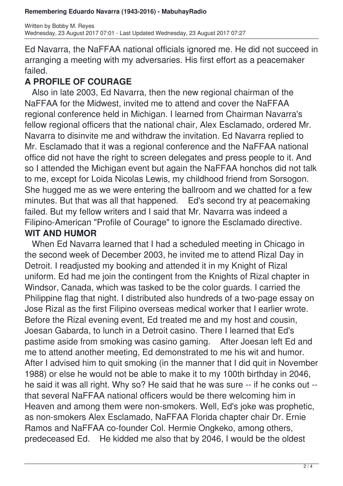Ed Navarra, the NaFFAA national officials ignored me. He did not succeed in arranging a meeting with my adversaries. His first effort as a peacemaker failed.

# **A PROFILE OF COURAGE**

 Also in late 2003, Ed Navarra, then the new regional chairman of the NaFFAA for the Midwest, invited me to attend and cover the NaFFAA regional conference held in Michigan. I learned from Chairman Navarra's fellow regional officers that the national chair, Alex Esclamado, ordered Mr. Navarra to disinvite me and withdraw the invitation. Ed Navarra replied to Mr. Esclamado that it was a regional conference and the NaFFAA national office did not have the right to screen delegates and press people to it. And so I attended the Michigan event but again the NaFFAA honchos did not talk to me, except for Loida Nicolas Lewis, my childhood friend from Sorsogon. She hugged me as we were entering the ballroom and we chatted for a few minutes. But that was all that happened. Ed's second try at peacemaking failed. But my fellow writers and I said that Mr. Navarra was indeed a Filipino-American "Profile of Courage" to ignore the Esclamado directive.

## **WIT AND HUMOR**

 When Ed Navarra learned that I had a scheduled meeting in Chicago in the second week of December 2003, he invited me to attend Rizal Day in Detroit. I readjusted my booking and attended it in my Knight of Rizal uniform. Ed had me join the contingent from the Knights of Rizal chapter in Windsor, Canada, which was tasked to be the color guards. I carried the Philippine flag that night. I distributed also hundreds of a two-page essay on Jose Rizal as the first Filipino overseas medical worker that I earlier wrote. Before the Rizal evening event, Ed treated me and my host and cousin, Joesan Gabarda, to lunch in a Detroit casino. There I learned that Ed's pastime aside from smoking was casino gaming. After Joesan left Ed and me to attend another meeting, Ed demonstrated to me his wit and humor. After I advised him to quit smoking (in the manner that I did quit in November 1988) or else he would not be able to make it to my 100th birthday in 2046, he said it was all right. Why so? He said that he was sure -- if he conks out - that several NaFFAA national officers would be there welcoming him in Heaven and among them were non-smokers. Well, Ed's joke was prophetic, as non-smokers Alex Esclamado, NaFFAA Florida chapter chair Dr. Ernie Ramos and NaFFAA co-founder Col. Hermie Ongkeko, among others, predeceased Ed. He kidded me also that by 2046, I would be the oldest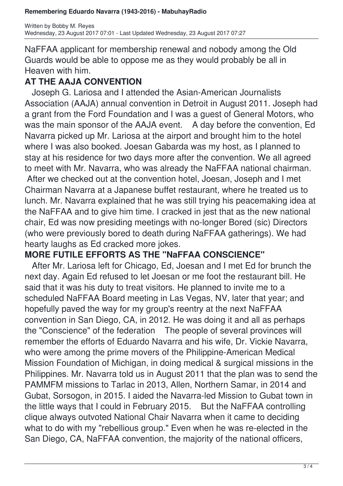NaFFAA applicant for membership renewal and nobody among the Old Guards would be able to oppose me as they would probably be all in Heaven with him.

## **AT THE AAJA CONVENTION**

 Joseph G. Lariosa and I attended the Asian-American Journalists Association (AAJA) annual convention in Detroit in August 2011. Joseph had a grant from the Ford Foundation and I was a guest of General Motors, who was the main sponsor of the AAJA event. A day before the convention, Ed Navarra picked up Mr. Lariosa at the airport and brought him to the hotel where I was also booked. Joesan Gabarda was my host, as I planned to stay at his residence for two days more after the convention. We all agreed to meet with Mr. Navarra, who was already the NaFFAA national chairman. After we checked out at the convention hotel, Joesan, Joseph and I met

Chairman Navarra at a Japanese buffet restaurant, where he treated us to lunch. Mr. Navarra explained that he was still trying his peacemaking idea at the NaFFAA and to give him time. I cracked in jest that as the new national chair, Ed was now presiding meetings with no-longer Bored (sic) Directors (who were previously bored to death during NaFFAA gatherings). We had hearty laughs as Ed cracked more jokes.

### **MORE FUTILE EFFORTS AS THE "NaFFAA CONSCIENCE"**

 After Mr. Lariosa left for Chicago, Ed, Joesan and I met Ed for brunch the next day. Again Ed refused to let Joesan or me foot the restaurant bill. He said that it was his duty to treat visitors. He planned to invite me to a scheduled NaFFAA Board meeting in Las Vegas, NV, later that year; and hopefully paved the way for my group's reentry at the next NaFFAA convention in San Diego, CA, in 2012. He was doing it and all as perhaps the "Conscience" of the federation The people of several provinces will remember the efforts of Eduardo Navarra and his wife, Dr. Vickie Navarra, who were among the prime movers of the Philippine-American Medical Mission Foundation of Michigan, in doing medical & surgical missions in the Philippines. Mr. Navarra told us in August 2011 that the plan was to send the PAMMFM missions to Tarlac in 2013, Allen, Northern Samar, in 2014 and Gubat, Sorsogon, in 2015. I aided the Navarra-led Mission to Gubat town in the little ways that I could in February 2015. But the NaFFAA controlling clique always outvoted National Chair Navarra when it came to deciding what to do with my "rebellious group." Even when he was re-elected in the San Diego, CA, NaFFAA convention, the majority of the national officers,